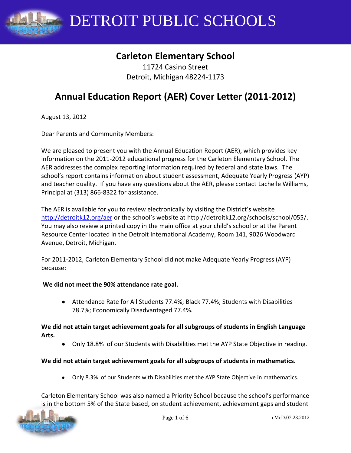

# **Carleton Elementary School**

11724 Casino Street Detroit, Michigan 48224-1173

# **Annual Education Report (AER) Cover Letter (2011-2012)**

August 13, 2012

Dear Parents and Community Members:

We are pleased to present you with the Annual Education Report (AER), which provides key information on the 2011-2012 educational progress for the Carleton Elementary School. The AER addresses the complex reporting information required by federal and state laws. The school's report contains information about student assessment, Adequate Yearly Progress (AYP) and teacher quality. If you have any questions about the AER, please contact Lachelle Williams, Principal at (313) 866-8322 for assistance.

The AER is available for you to review electronically by visiting the District's website <http://detroitk12.org/aer> or the school's website at http://detroitk12.org/schools/school/055/. You may also review a printed copy in the main office at your child's school or at the Parent Resource Center located in the Detroit International Academy, Room 141, 9026 Woodward Avenue, Detroit, Michigan.

For 2011-2012, Carleton Elementary School did not make Adequate Yearly Progress (AYP) because:

#### **We did not meet the 90% attendance rate goal.**

Attendance Rate for All Students 77.4%; Black 77.4%; Students with Disabilities 78.7%; Economically Disadvantaged 77.4%.

#### **We did not attain target achievement goals for all subgroups of students in English Language Arts.**

Only 18.8% of our Students with Disabilities met the AYP State Objective in reading.

#### **We did not attain target achievement goals for all subgroups of students in mathematics.**

Only 8.3% of our Students with Disabilities met the AYP State Objective in mathematics.

Carleton Elementary School was also named a Priority School because the school's performance is in the bottom 5% of the State based, on student achievement, achievement gaps and student

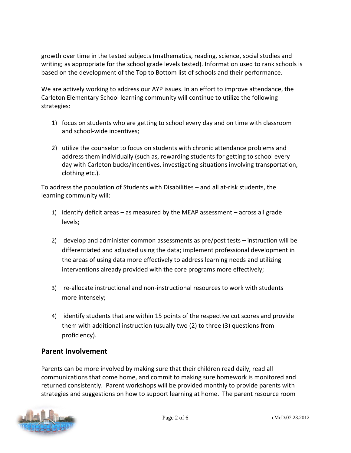growth over time in the tested subjects (mathematics, reading, science, social studies and writing; as appropriate for the school grade levels tested). Information used to rank schools is based on the development of the Top to Bottom list of schools and their performance.

We are actively working to address our AYP issues. In an effort to improve attendance, the Carleton Elementary School learning community will continue to utilize the following strategies:

- 1) focus on students who are getting to school every day and on time with classroom and school-wide incentives;
- 2) utilize the counselor to focus on students with chronic attendance problems and address them individually (such as, rewarding students for getting to school every day with Carleton bucks/incentives, investigating situations involving transportation, clothing etc.).

To address the population of Students with Disabilities – and all at-risk students, the learning community will:

- 1) identify deficit areas as measured by the MEAP assessment across all grade levels;
- 2) develop and administer common assessments as pre/post tests instruction will be differentiated and adjusted using the data; implement professional development in the areas of using data more effectively to address learning needs and utilizing interventions already provided with the core programs more effectively;
- 3) re-allocate instructional and non-instructional resources to work with students more intensely;
- 4) identify students that are within 15 points of the respective cut scores and provide them with additional instruction (usually two (2) to three (3) questions from proficiency).

## **Parent Involvement**

Parents can be more involved by making sure that their children read daily, read all communications that come home, and commit to making sure homework is monitored and returned consistently. Parent workshops will be provided monthly to provide parents with strategies and suggestions on how to support learning at home. The parent resource room

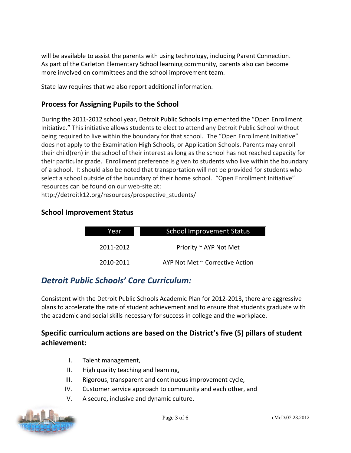will be available to assist the parents with using technology, including Parent Connection. As part of the Carleton Elementary School learning community, parents also can become more involved on committees and the school improvement team.

State law requires that we also report additional information.

## **Process for Assigning Pupils to the School**

During the 2011-2012 school year, Detroit Public Schools implemented the "Open Enrollment Initiative." This initiative allows students to elect to attend any Detroit Public School without being required to live within the boundary for that school. The "Open Enrollment Initiative" does not apply to the Examination High Schools, or Application Schools. Parents may enroll their child(ren) in the school of their interest as long as the school has not reached capacity for their particular grade. Enrollment preference is given to students who live within the boundary of a school. It should also be noted that transportation will not be provided for students who select a school outside of the boundary of their home school. "Open Enrollment Initiative" resources can be found on our web-site at:

http://detroitk12.org/resources/prospective\_students/

### **School Improvement Status**

| Year      | <b>School Improvement Status</b> |  |
|-----------|----------------------------------|--|
| 2011-2012 | Priority ~ AYP Not Met           |  |
| 2010-2011 | AYP Not Met ~ Corrective Action  |  |

# *Detroit Public Schools' Core Curriculum:*

Consistent with the Detroit Public Schools Academic Plan for 2012-2013**,** there are aggressive plans to accelerate the rate of student achievement and to ensure that students graduate with the academic and social skills necessary for success in college and the workplace.

## **Specific curriculum actions are based on the District's five (5) pillars of student achievement:**

- I. Talent management,
- II. High quality teaching and learning,
- III. Rigorous, transparent and continuous improvement cycle,
- IV. Customer service approach to community and each other, and
- V. A secure, inclusive and dynamic culture.

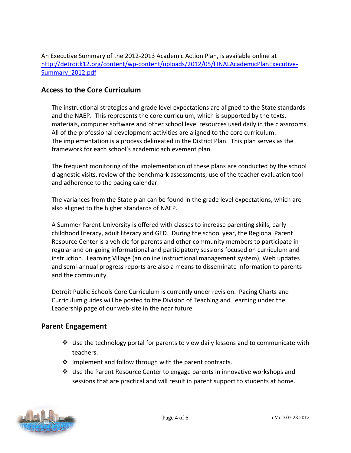An Executive Summary of the 2012-2013 Academic Action Plan, is available online at [http://detroitk12.org/content/wp-content/uploads/2012/05/FINALAcademicPlanExecutive-](http://detroitk12.org/content/wp-content/uploads/2012/05/FINALAcademicPlanExecutive-Summary_2012.pdf)[Summary\\_2012.pdf](http://detroitk12.org/content/wp-content/uploads/2012/05/FINALAcademicPlanExecutive-Summary_2012.pdf)

#### **Access to the Core Curriculum**

The instructional strategies and grade level expectations are aligned to the State standards and the NAEP. This represents the core curriculum, which is supported by the texts, materials, computer software and other school level resources used daily in the classrooms. All of the professional development activities are aligned to the core curriculum. The implementation is a process delineated in the District Plan. This plan serves as the framework for each school's academic achievement plan.

The frequent monitoring of the implementation of these plans are conducted by the school diagnostic visits, review of the benchmark assessments, use of the teacher evaluation tool and adherence to the pacing calendar.

The variances from the State plan can be found in the grade level expectations, which are also aligned to the higher standards of NAEP.

A Summer Parent University is offered with classes to increase parenting skills, early childhood literacy, adult literacy and GED. During the school year, the Regional Parent Resource Center is a vehicle for parents and other community members to participate in regular and on-going informational and participatory sessions focused on curriculum and instruction. Learning Village (an online instructional management system), Web updates and semi-annual progress reports are also a means to disseminate information to parents and the community.

Detroit Public Schools Core Curriculum is currently under revision. Pacing Charts and Curriculum guides will be posted to the Division of Teaching and Learning under the Leadership page of our web-site in the near future.

#### **Parent Engagement**

- $\div$  Use the technology portal for parents to view daily lessons and to communicate with teachers.
- $\cdot \cdot$  Implement and follow through with the parent contracts.
- $\clubsuit$  Use the Parent Resource Center to engage parents in innovative workshops and sessions that are practical and will result in parent support to students at home.

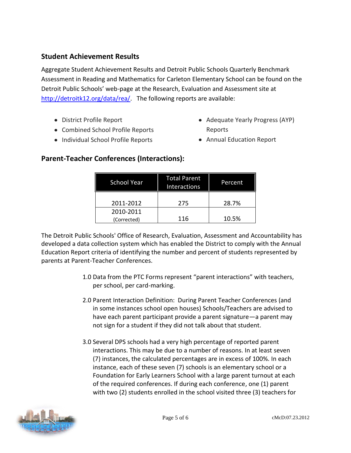### **Student Achievement Results**

Aggregate Student Achievement Results and Detroit Public Schools Quarterly Benchmark Assessment in Reading and Mathematics for Carleton Elementary School can be found on the Detroit Public Schools' web-page at the Research, Evaluation and Assessment site at [http://detroitk12.org/data/rea/.](http://detroitk12.org/data/rea/) The following reports are available:

- District Profile Report
- Combined School Profile Reports
- Individual School Profile Reports
- Adequate Yearly Progress (AYP) Reports
- Annual Education Report

### **Parent-Teacher Conferences (Interactions):**

| <b>School Year</b> | <b>Total Parent</b><br>Interactions | Percent |
|--------------------|-------------------------------------|---------|
| 2011-2012          | 275                                 | 28.7%   |
| 2010-2011          |                                     |         |
| (Corrected)        | 116                                 | 10.5%   |

The Detroit Public Schools' Office of Research, Evaluation, Assessment and Accountability has developed a data collection system which has enabled the District to comply with the Annual Education Report criteria of identifying the number and percent of students represented by parents at Parent-Teacher Conferences.

- 1.0 Data from the PTC Forms represent "parent interactions" with teachers, per school, per card-marking.
- 2.0 Parent Interaction Definition: During Parent Teacher Conferences (and in some instances school open houses) Schools/Teachers are advised to have each parent participant provide a parent signature—a parent may not sign for a student if they did not talk about that student.
- 3.0 Several DPS schools had a very high percentage of reported parent interactions. This may be due to a number of reasons. In at least seven (7) instances, the calculated percentages are in excess of 100%. In each instance, each of these seven (7) schools is an elementary school or a Foundation for Early Learners School with a large parent turnout at each of the required conferences. If during each conference, one (1) parent with two (2) students enrolled in the school visited three (3) teachers for